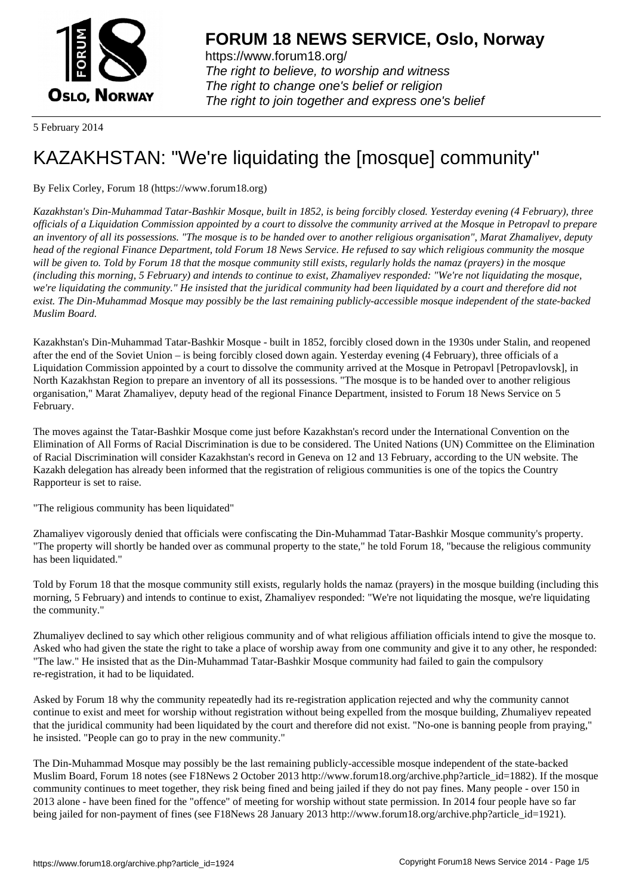

https://www.forum18.org/ The right to believe, to worship and witness The right to change one's belief or religion [The right to join together a](https://www.forum18.org/)nd express one's belief

5 February 2014

## [KAZAKHSTAN:](https://www.forum18.org) "We're liquidating the [mosque] community"

By Felix Corley, Forum 18 (https://www.forum18.org)

*Kazakhstan's Din-Muhammad Tatar-Bashkir Mosque, built in 1852, is being forcibly closed. Yesterday evening (4 February), three officials of a Liquidation Commission appointed by a court to dissolve the community arrived at the Mosque in Petropavl to prepare an inventory of all its possessions. "The mosque is to be handed over to another religious organisation", Marat Zhamaliyev, deputy head of the regional Finance Department, told Forum 18 News Service. He refused to say which religious community the mosque will be given to. Told by Forum 18 that the mosque community still exists, regularly holds the namaz (prayers) in the mosque (including this morning, 5 February) and intends to continue to exist, Zhamaliyev responded: "We're not liquidating the mosque, we're liquidating the community." He insisted that the juridical community had been liquidated by a court and therefore did not exist. The Din-Muhammad Mosque may possibly be the last remaining publicly-accessible mosque independent of the state-backed Muslim Board.*

Kazakhstan's Din-Muhammad Tatar-Bashkir Mosque - built in 1852, forcibly closed down in the 1930s under Stalin, and reopened after the end of the Soviet Union – is being forcibly closed down again. Yesterday evening (4 February), three officials of a Liquidation Commission appointed by a court to dissolve the community arrived at the Mosque in Petropavl [Petropavlovsk], in North Kazakhstan Region to prepare an inventory of all its possessions. "The mosque is to be handed over to another religious organisation," Marat Zhamaliyev, deputy head of the regional Finance Department, insisted to Forum 18 News Service on 5 February.

The moves against the Tatar-Bashkir Mosque come just before Kazakhstan's record under the International Convention on the Elimination of All Forms of Racial Discrimination is due to be considered. The United Nations (UN) Committee on the Elimination of Racial Discrimination will consider Kazakhstan's record in Geneva on 12 and 13 February, according to the UN website. The Kazakh delegation has already been informed that the registration of religious communities is one of the topics the Country Rapporteur is set to raise.

"The religious community has been liquidated"

Zhamaliyev vigorously denied that officials were confiscating the Din-Muhammad Tatar-Bashkir Mosque community's property. "The property will shortly be handed over as communal property to the state," he told Forum 18, "because the religious community has been liquidated."

Told by Forum 18 that the mosque community still exists, regularly holds the namaz (prayers) in the mosque building (including this morning, 5 February) and intends to continue to exist, Zhamaliyev responded: "We're not liquidating the mosque, we're liquidating the community."

Zhumaliyev declined to say which other religious community and of what religious affiliation officials intend to give the mosque to. Asked who had given the state the right to take a place of worship away from one community and give it to any other, he responded: "The law." He insisted that as the Din-Muhammad Tatar-Bashkir Mosque community had failed to gain the compulsory re-registration, it had to be liquidated.

Asked by Forum 18 why the community repeatedly had its re-registration application rejected and why the community cannot continue to exist and meet for worship without registration without being expelled from the mosque building, Zhumaliyev repeated that the juridical community had been liquidated by the court and therefore did not exist. "No-one is banning people from praying," he insisted. "People can go to pray in the new community."

The Din-Muhammad Mosque may possibly be the last remaining publicly-accessible mosque independent of the state-backed Muslim Board, Forum 18 notes (see F18News 2 October 2013 http://www.forum18.org/archive.php?article\_id=1882). If the mosque community continues to meet together, they risk being fined and being jailed if they do not pay fines. Many people - over 150 in 2013 alone - have been fined for the "offence" of meeting for worship without state permission. In 2014 four people have so far being jailed for non-payment of fines (see F18News 28 January 2013 http://www.forum18.org/archive.php?article\_id=1921).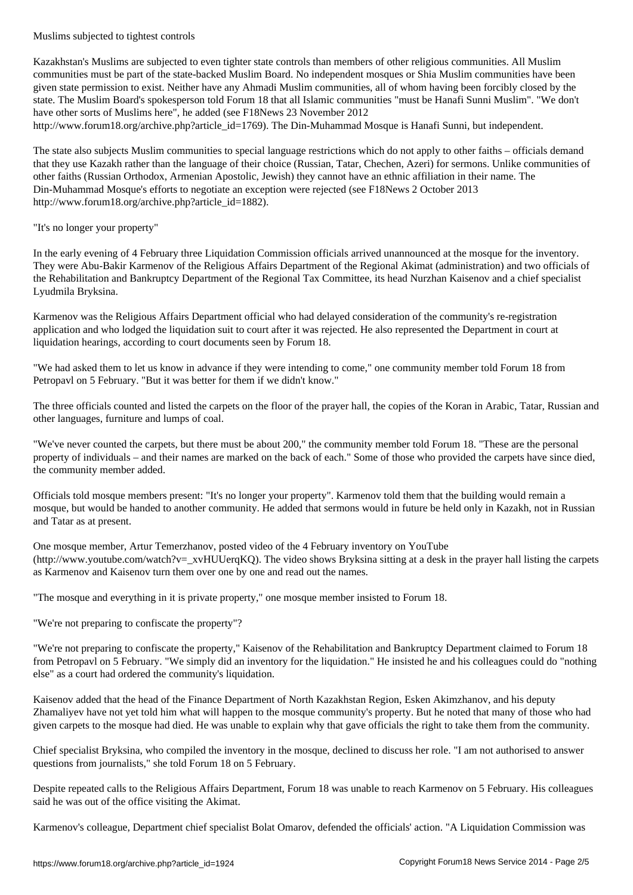Kazakhstan's Muslims are subjected to even tighter state controls than members of other religious communities. All Muslim communities must be part of the state-backed Muslim Board. No independent mosques or Shia Muslim communities have been given state permission to exist. Neither have any Ahmadi Muslim communities, all of whom having been forcibly closed by the state. The Muslim Board's spokesperson told Forum 18 that all Islamic communities "must be Hanafi Sunni Muslim". "We don't have other sorts of Muslims here", he added (see F18News 23 November 2012 http://www.forum18.org/archive.php?article\_id=1769). The Din-Muhammad Mosque is Hanafi Sunni, but independent.

The state also subjects Muslim communities to special language restrictions which do not apply to other faiths – officials demand that they use Kazakh rather than the language of their choice (Russian, Tatar, Chechen, Azeri) for sermons. Unlike communities of other faiths (Russian Orthodox, Armenian Apostolic, Jewish) they cannot have an ethnic affiliation in their name. The Din-Muhammad Mosque's efforts to negotiate an exception were rejected (see F18News 2 October 2013 http://www.forum18.org/archive.php?article\_id=1882).

## "It's no longer your property"

In the early evening of 4 February three Liquidation Commission officials arrived unannounced at the mosque for the inventory. They were Abu-Bakir Karmenov of the Religious Affairs Department of the Regional Akimat (administration) and two officials of the Rehabilitation and Bankruptcy Department of the Regional Tax Committee, its head Nurzhan Kaisenov and a chief specialist Lyudmila Bryksina.

Karmenov was the Religious Affairs Department official who had delayed consideration of the community's re-registration application and who lodged the liquidation suit to court after it was rejected. He also represented the Department in court at liquidation hearings, according to court documents seen by Forum 18.

"We had asked them to let us know in advance if they were intending to come," one community member told Forum 18 from Petropavl on 5 February. "But it was better for them if we didn't know."

The three officials counted and listed the carpets on the floor of the prayer hall, the copies of the Koran in Arabic, Tatar, Russian and other languages, furniture and lumps of coal.

"We've never counted the carpets, but there must be about 200," the community member told Forum 18. "These are the personal property of individuals – and their names are marked on the back of each." Some of those who provided the carpets have since died, the community member added.

Officials told mosque members present: "It's no longer your property". Karmenov told them that the building would remain a mosque, but would be handed to another community. He added that sermons would in future be held only in Kazakh, not in Russian and Tatar as at present.

One mosque member, Artur Temerzhanov, posted video of the 4 February inventory on YouTube (http://www.youtube.com/watch?v=\_xvHUUerqKQ). The video shows Bryksina sitting at a desk in the prayer hall listing the carpets as Karmenov and Kaisenov turn them over one by one and read out the names.

"The mosque and everything in it is private property," one mosque member insisted to Forum 18.

"We're not preparing to confiscate the property"?

"We're not preparing to confiscate the property," Kaisenov of the Rehabilitation and Bankruptcy Department claimed to Forum 18 from Petropavl on 5 February. "We simply did an inventory for the liquidation." He insisted he and his colleagues could do "nothing else" as a court had ordered the community's liquidation.

Kaisenov added that the head of the Finance Department of North Kazakhstan Region, Esken Akimzhanov, and his deputy Zhamaliyev have not yet told him what will happen to the mosque community's property. But he noted that many of those who had given carpets to the mosque had died. He was unable to explain why that gave officials the right to take them from the community.

Chief specialist Bryksina, who compiled the inventory in the mosque, declined to discuss her role. "I am not authorised to answer questions from journalists," she told Forum 18 on 5 February.

Despite repeated calls to the Religious Affairs Department, Forum 18 was unable to reach Karmenov on 5 February. His colleagues said he was out of the office visiting the Akimat.

Karmenov's colleague, Department chief specialist Bolat Omarov, defended the officials' action. "A Liquidation Commission was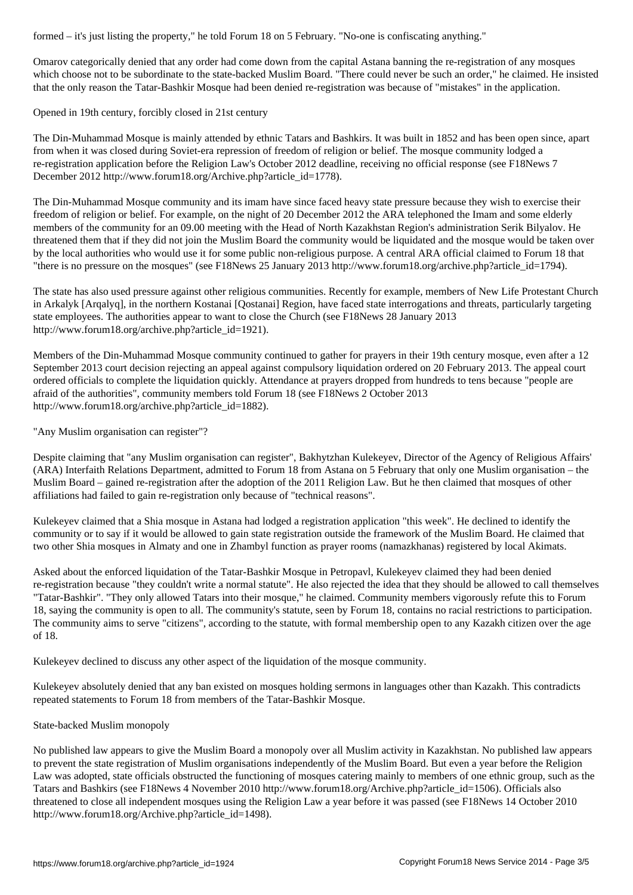Omarov categorically denied that any order had come down from the capital Astana banning the re-registration of any mosques which choose not to be subordinate to the state-backed Muslim Board. "There could never be such an order," he claimed. He insisted that the only reason the Tatar-Bashkir Mosque had been denied re-registration was because of "mistakes" in the application.

Opened in 19th century, forcibly closed in 21st century

The Din-Muhammad Mosque is mainly attended by ethnic Tatars and Bashkirs. It was built in 1852 and has been open since, apart from when it was closed during Soviet-era repression of freedom of religion or belief. The mosque community lodged a re-registration application before the Religion Law's October 2012 deadline, receiving no official response (see F18News 7 December 2012 http://www.forum18.org/Archive.php?article\_id=1778).

The Din-Muhammad Mosque community and its imam have since faced heavy state pressure because they wish to exercise their freedom of religion or belief. For example, on the night of 20 December 2012 the ARA telephoned the Imam and some elderly members of the community for an 09.00 meeting with the Head of North Kazakhstan Region's administration Serik Bilyalov. He threatened them that if they did not join the Muslim Board the community would be liquidated and the mosque would be taken over by the local authorities who would use it for some public non-religious purpose. A central ARA official claimed to Forum 18 that "there is no pressure on the mosques" (see F18News 25 January 2013 http://www.forum18.org/archive.php?article\_id=1794).

The state has also used pressure against other religious communities. Recently for example, members of New Life Protestant Church in Arkalyk [Arqalyq], in the northern Kostanai [Qostanai] Region, have faced state interrogations and threats, particularly targeting state employees. The authorities appear to want to close the Church (see F18News 28 January 2013 http://www.forum18.org/archive.php?article\_id=1921).

Members of the Din-Muhammad Mosque community continued to gather for prayers in their 19th century mosque, even after a 12 September 2013 court decision rejecting an appeal against compulsory liquidation ordered on 20 February 2013. The appeal court ordered officials to complete the liquidation quickly. Attendance at prayers dropped from hundreds to tens because "people are afraid of the authorities", community members told Forum 18 (see F18News 2 October 2013 http://www.forum18.org/archive.php?article\_id=1882).

"Any Muslim organisation can register"?

Despite claiming that "any Muslim organisation can register", Bakhytzhan Kulekeyev, Director of the Agency of Religious Affairs' (ARA) Interfaith Relations Department, admitted to Forum 18 from Astana on 5 February that only one Muslim organisation – the Muslim Board – gained re-registration after the adoption of the 2011 Religion Law. But he then claimed that mosques of other affiliations had failed to gain re-registration only because of "technical reasons".

Kulekeyev claimed that a Shia mosque in Astana had lodged a registration application "this week". He declined to identify the community or to say if it would be allowed to gain state registration outside the framework of the Muslim Board. He claimed that two other Shia mosques in Almaty and one in Zhambyl function as prayer rooms (namazkhanas) registered by local Akimats.

Asked about the enforced liquidation of the Tatar-Bashkir Mosque in Petropavl, Kulekeyev claimed they had been denied re-registration because "they couldn't write a normal statute". He also rejected the idea that they should be allowed to call themselves "Tatar-Bashkir". "They only allowed Tatars into their mosque," he claimed. Community members vigorously refute this to Forum 18, saying the community is open to all. The community's statute, seen by Forum 18, contains no racial restrictions to participation. The community aims to serve "citizens", according to the statute, with formal membership open to any Kazakh citizen over the age of 18.

Kulekeyev declined to discuss any other aspect of the liquidation of the mosque community.

Kulekeyev absolutely denied that any ban existed on mosques holding sermons in languages other than Kazakh. This contradicts repeated statements to Forum 18 from members of the Tatar-Bashkir Mosque.

## State-backed Muslim monopoly

No published law appears to give the Muslim Board a monopoly over all Muslim activity in Kazakhstan. No published law appears to prevent the state registration of Muslim organisations independently of the Muslim Board. But even a year before the Religion Law was adopted, state officials obstructed the functioning of mosques catering mainly to members of one ethnic group, such as the Tatars and Bashkirs (see F18News 4 November 2010 http://www.forum18.org/Archive.php?article\_id=1506). Officials also threatened to close all independent mosques using the Religion Law a year before it was passed (see F18News 14 October 2010 http://www.forum18.org/Archive.php?article\_id=1498).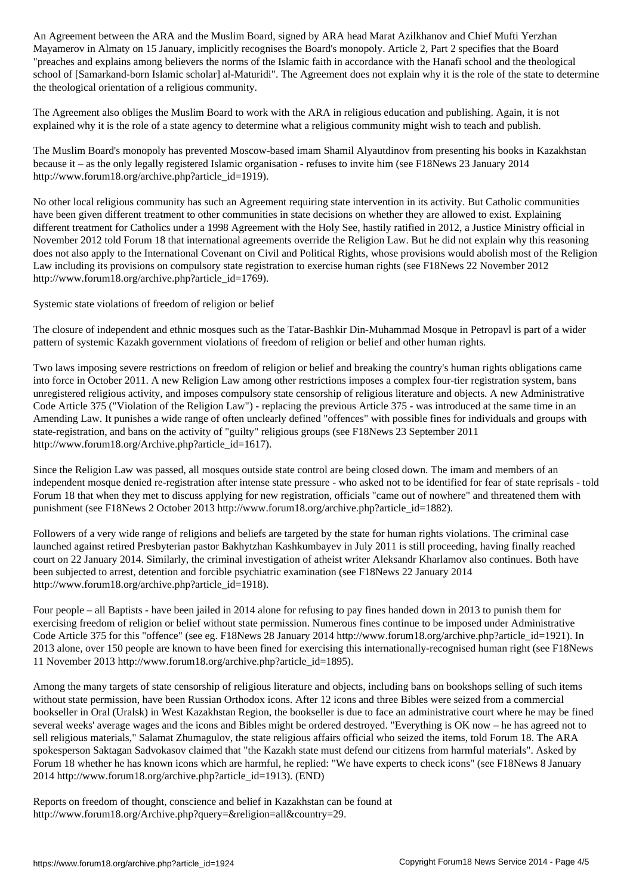Mayamerov in Almaty on 15 January, implicitly recognises the Board's monopoly. Article 2, Part 2 specifies that the Board "preaches and explains among believers the norms of the Islamic faith in accordance with the Hanafi school and the theological school of [Samarkand-born Islamic scholar] al-Maturidi". The Agreement does not explain why it is the role of the state to determine the theological orientation of a religious community.

The Agreement also obliges the Muslim Board to work with the ARA in religious education and publishing. Again, it is not explained why it is the role of a state agency to determine what a religious community might wish to teach and publish.

The Muslim Board's monopoly has prevented Moscow-based imam Shamil Alyautdinov from presenting his books in Kazakhstan because it – as the only legally registered Islamic organisation - refuses to invite him (see F18News 23 January 2014 http://www.forum18.org/archive.php?article\_id=1919).

No other local religious community has such an Agreement requiring state intervention in its activity. But Catholic communities have been given different treatment to other communities in state decisions on whether they are allowed to exist. Explaining different treatment for Catholics under a 1998 Agreement with the Holy See, hastily ratified in 2012, a Justice Ministry official in November 2012 told Forum 18 that international agreements override the Religion Law. But he did not explain why this reasoning does not also apply to the International Covenant on Civil and Political Rights, whose provisions would abolish most of the Religion Law including its provisions on compulsory state registration to exercise human rights (see F18News 22 November 2012 http://www.forum18.org/archive.php?article\_id=1769).

Systemic state violations of freedom of religion or belief

The closure of independent and ethnic mosques such as the Tatar-Bashkir Din-Muhammad Mosque in Petropavl is part of a wider pattern of systemic Kazakh government violations of freedom of religion or belief and other human rights.

Two laws imposing severe restrictions on freedom of religion or belief and breaking the country's human rights obligations came into force in October 2011. A new Religion Law among other restrictions imposes a complex four-tier registration system, bans unregistered religious activity, and imposes compulsory state censorship of religious literature and objects. A new Administrative Code Article 375 ("Violation of the Religion Law") - replacing the previous Article 375 - was introduced at the same time in an Amending Law. It punishes a wide range of often unclearly defined "offences" with possible fines for individuals and groups with state-registration, and bans on the activity of "guilty" religious groups (see F18News 23 September 2011 http://www.forum18.org/Archive.php?article\_id=1617).

Since the Religion Law was passed, all mosques outside state control are being closed down. The imam and members of an independent mosque denied re-registration after intense state pressure - who asked not to be identified for fear of state reprisals - told Forum 18 that when they met to discuss applying for new registration, officials "came out of nowhere" and threatened them with punishment (see F18News 2 October 2013 http://www.forum18.org/archive.php?article\_id=1882).

Followers of a very wide range of religions and beliefs are targeted by the state for human rights violations. The criminal case launched against retired Presbyterian pastor Bakhytzhan Kashkumbayev in July 2011 is still proceeding, having finally reached court on 22 January 2014. Similarly, the criminal investigation of atheist writer Aleksandr Kharlamov also continues. Both have been subjected to arrest, detention and forcible psychiatric examination (see F18News 22 January 2014 http://www.forum18.org/archive.php?article\_id=1918).

Four people – all Baptists - have been jailed in 2014 alone for refusing to pay fines handed down in 2013 to punish them for exercising freedom of religion or belief without state permission. Numerous fines continue to be imposed under Administrative Code Article 375 for this "offence" (see eg. F18News 28 January 2014 http://www.forum18.org/archive.php?article\_id=1921). In 2013 alone, over 150 people are known to have been fined for exercising this internationally-recognised human right (see F18News 11 November 2013 http://www.forum18.org/archive.php?article\_id=1895).

Among the many targets of state censorship of religious literature and objects, including bans on bookshops selling of such items without state permission, have been Russian Orthodox icons. After 12 icons and three Bibles were seized from a commercial bookseller in Oral (Uralsk) in West Kazakhstan Region, the bookseller is due to face an administrative court where he may be fined several weeks' average wages and the icons and Bibles might be ordered destroyed. "Everything is OK now – he has agreed not to sell religious materials," Salamat Zhumagulov, the state religious affairs official who seized the items, told Forum 18. The ARA spokesperson Saktagan Sadvokasov claimed that "the Kazakh state must defend our citizens from harmful materials". Asked by Forum 18 whether he has known icons which are harmful, he replied: "We have experts to check icons" (see F18News 8 January 2014 http://www.forum18.org/archive.php?article\_id=1913). (END)

Reports on freedom of thought, conscience and belief in Kazakhstan can be found at http://www.forum18.org/Archive.php?query=&religion=all&country=29.